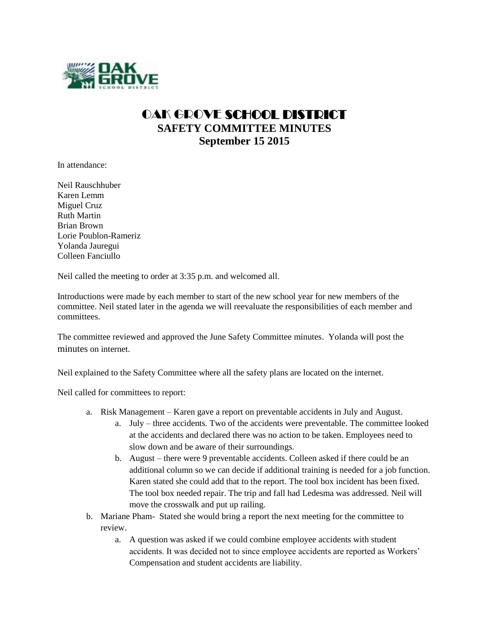

## OAK GROVE SCHOOL DISTRICT **SAFETY COMMITTEE MINUTES September 15 2015**

In attendance:

Neil Rauschhuber Karen Lemm Miguel Cruz Ruth Martin Brian Brown Lorie Poublon-Rameriz Yolanda Jauregui Colleen Fanciullo

Neil called the meeting to order at 3:35 p.m. and welcomed all.

Introductions were made by each member to start of the new school year for new members of the committee. Neil stated later in the agenda we will reevaluate the responsibilities of each member and committees.

The committee reviewed and approved the June Safety Committee minutes. Yolanda will post the minutes on internet.

Neil explained to the Safety Committee where all the safety plans are located on the internet.

Neil called for committees to report:

- a. Risk Management Karen gave a report on preventable accidents in July and August.
	- a. July three accidents. Two of the accidents were preventable. The committee looked at the accidents and declared there was no action to be taken. Employees need to slow down and be aware of their surroundings.
	- b. August there were 9 preventable accidents. Colleen asked if there could be an additional column so we can decide if additional training is needed for a job function. Karen stated she could add that to the report. The tool box incident has been fixed. The tool box needed repair. The trip and fall had Ledesma was addressed. Neil will move the crosswalk and put up railing.
- b. Mariane Pham- Stated she would bring a report the next meeting for the committee to review.
	- a. A question was asked if we could combine employee accidents with student accidents. It was decided not to since employee accidents are reported as Workers' Compensation and student accidents are liability.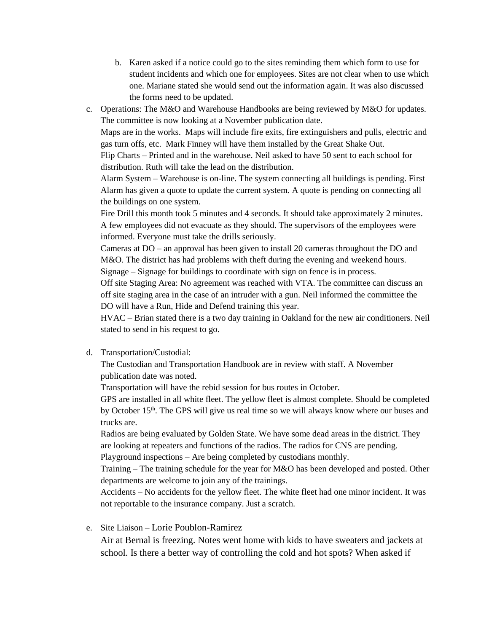- b. Karen asked if a notice could go to the sites reminding them which form to use for student incidents and which one for employees. Sites are not clear when to use which one. Mariane stated she would send out the information again. It was also discussed the forms need to be updated.
- c. Operations: The M&O and Warehouse Handbooks are being reviewed by M&O for updates. The committee is now looking at a November publication date.

Maps are in the works. Maps will include fire exits, fire extinguishers and pulls, electric and gas turn offs, etc. Mark Finney will have them installed by the Great Shake Out.

Flip Charts – Printed and in the warehouse. Neil asked to have 50 sent to each school for distribution. Ruth will take the lead on the distribution.

Alarm System – Warehouse is on-line. The system connecting all buildings is pending. First Alarm has given a quote to update the current system. A quote is pending on connecting all the buildings on one system.

Fire Drill this month took 5 minutes and 4 seconds. It should take approximately 2 minutes. A few employees did not evacuate as they should. The supervisors of the employees were informed. Everyone must take the drills seriously.

Cameras at DO – an approval has been given to install 20 cameras throughout the DO and M&O. The district has had problems with theft during the evening and weekend hours. Signage – Signage for buildings to coordinate with sign on fence is in process.

Off site Staging Area: No agreement was reached with VTA. The committee can discuss an off site staging area in the case of an intruder with a gun. Neil informed the committee the DO will have a Run, Hide and Defend training this year.

HVAC – Brian stated there is a two day training in Oakland for the new air conditioners. Neil stated to send in his request to go.

## d. Transportation/Custodial:

The Custodian and Transportation Handbook are in review with staff. A November publication date was noted.

Transportation will have the rebid session for bus routes in October.

GPS are installed in all white fleet. The yellow fleet is almost complete. Should be completed by October 15th. The GPS will give us real time so we will always know where our buses and trucks are.

Radios are being evaluated by Golden State. We have some dead areas in the district. They are looking at repeaters and functions of the radios. The radios for CNS are pending. Playground inspections – Are being completed by custodians monthly.

Training – The training schedule for the year for M&O has been developed and posted. Other departments are welcome to join any of the trainings.

Accidents – No accidents for the yellow fleet. The white fleet had one minor incident. It was not reportable to the insurance company. Just a scratch.

## e. Site Liaison – Lorie Poublon-Ramirez

Air at Bernal is freezing. Notes went home with kids to have sweaters and jackets at school. Is there a better way of controlling the cold and hot spots? When asked if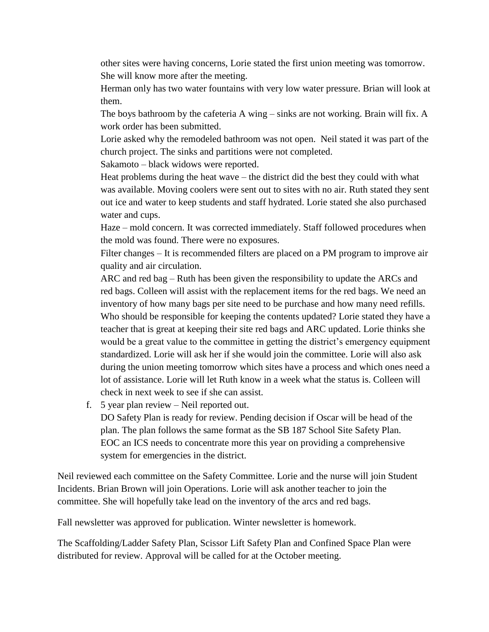other sites were having concerns, Lorie stated the first union meeting was tomorrow. She will know more after the meeting.

Herman only has two water fountains with very low water pressure. Brian will look at them.

The boys bathroom by the cafeteria A wing – sinks are not working. Brain will fix. A work order has been submitted.

Lorie asked why the remodeled bathroom was not open. Neil stated it was part of the church project. The sinks and partitions were not completed.

Sakamoto – black widows were reported.

Heat problems during the heat wave – the district did the best they could with what was available. Moving coolers were sent out to sites with no air. Ruth stated they sent out ice and water to keep students and staff hydrated. Lorie stated she also purchased water and cups.

Haze – mold concern. It was corrected immediately. Staff followed procedures when the mold was found. There were no exposures.

Filter changes – It is recommended filters are placed on a PM program to improve air quality and air circulation.

ARC and red bag – Ruth has been given the responsibility to update the ARCs and red bags. Colleen will assist with the replacement items for the red bags. We need an inventory of how many bags per site need to be purchase and how many need refills. Who should be responsible for keeping the contents updated? Lorie stated they have a teacher that is great at keeping their site red bags and ARC updated. Lorie thinks she would be a great value to the committee in getting the district's emergency equipment standardized. Lorie will ask her if she would join the committee. Lorie will also ask during the union meeting tomorrow which sites have a process and which ones need a lot of assistance. Lorie will let Ruth know in a week what the status is. Colleen will check in next week to see if she can assist.

f. 5 year plan review – Neil reported out.

DO Safety Plan is ready for review. Pending decision if Oscar will be head of the plan. The plan follows the same format as the SB 187 School Site Safety Plan. EOC an ICS needs to concentrate more this year on providing a comprehensive system for emergencies in the district.

Neil reviewed each committee on the Safety Committee. Lorie and the nurse will join Student Incidents. Brian Brown will join Operations. Lorie will ask another teacher to join the committee. She will hopefully take lead on the inventory of the arcs and red bags.

Fall newsletter was approved for publication. Winter newsletter is homework.

The Scaffolding/Ladder Safety Plan, Scissor Lift Safety Plan and Confined Space Plan were distributed for review. Approval will be called for at the October meeting.